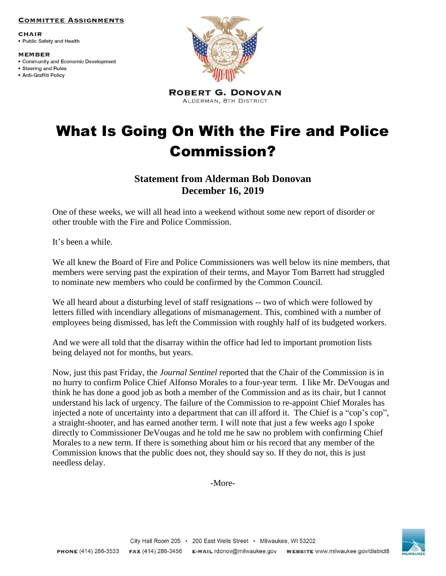### **COMMITTEE ASSIGNMENTS**

**CHAIR** • Public Safety and Health

#### **MEMBER**

- Community and Economic Development
- Steering and Rules · Anti-Graffiti Policy



**ROBERT G. DONOVAN** ALDERMAN, 8TH DISTRICT

# What Is Going On With the Fire and Police Commission?

## **Statement from Alderman Bob Donovan December 16, 2019**

One of these weeks, we will all head into a weekend without some new report of disorder or other trouble with the Fire and Police Commission.

It's been a while.

We all knew the Board of Fire and Police Commissioners was well below its nine members, that members were serving past the expiration of their terms, and Mayor Tom Barrett had struggled to nominate new members who could be confirmed by the Common Council.

We all heard about a disturbing level of staff resignations -- two of which were followed by letters filled with incendiary allegations of mismanagement. This, combined with a number of employees being dismissed, has left the Commission with roughly half of its budgeted workers.

And we were all told that the disarray within the office had led to important promotion lists being delayed not for months, but years.

Now, just this past Friday, the *Journal Sentinel* reported that the Chair of the Commission is in no hurry to confirm Police Chief Alfonso Morales to a four-year term. I like Mr. DeVougas and think he has done a good job as both a member of the Commission and as its chair, but I cannot understand his lack of urgency. The failure of the Commission to re-appoint Chief Morales has injected a note of uncertainty into a department that can ill afford it. The Chief is a "cop's cop", a straight-shooter, and has earned another term. I will note that just a few weeks ago I spoke directly to Commissioner DeVougas and he told me he saw no problem with confirming Chief Morales to a new term. If there is something about him or his record that any member of the Commission knows that the public does not, they should say so. If they do not, this is just needless delay.

-More-